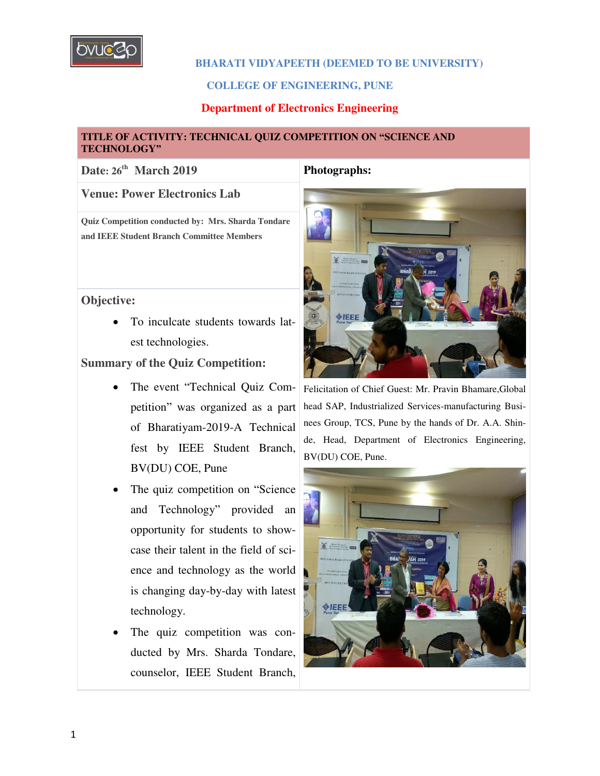

### **BHARATI VIDYAPEETH (DEEMED TO BE UNIVERSITY)**

### **COLLEGE OF ENGINEERING, PUNE**

### **Department of Electronics Engineering**

### **TITLE OF ACTIVITY: TECHNICAL QUIZ COMPETITION ON "SCIENCE AND TECHNOLOGY"**

## **Date: 26th March 2019 Photographs:**

**Venue: Power Electronics Lab**

**Quiz Competition conducted by: Mrs. Sharda Tondare and IEEE Student Branch Committee Members** 

### **Objective:**

 To inculcate students towards latest technologies.

### **Summary of the Quiz Competition:**

- The event "Technical Quiz Competition" was organized as a part of Bharatiyam-2019-A Technical fest by IEEE Student Branch, BV(DU) COE, Pune
- The quiz competition on "Science and Technology" provided an opportunity for students to showcase their talent in the field of science and technology as the world is changing day-by-day with latest technology.
- The quiz competition was conducted by Mrs. Sharda Tondare, counselor, IEEE Student Branch,



Felicitation of Chief Guest: Mr. Pravin Bhamare,Global head SAP, Industrialized Services-manufacturing Businees Group, TCS, Pune by the hands of Dr. A.A. Shinde, Head, Department of Electronics Engineering, BV(DU) COE, Pune.

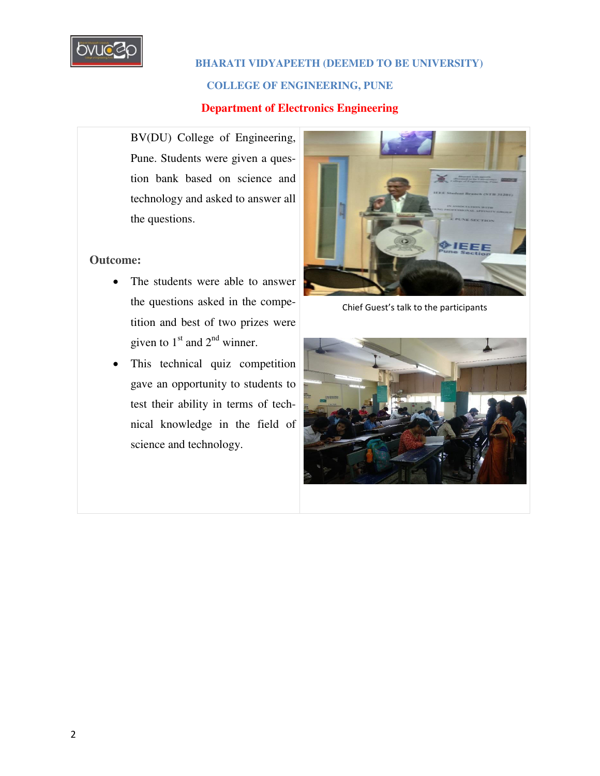

## **BHARATI VIDYAPEETH (DEEMED TO BE UNIVERSITY)**

### **COLLEGE OF ENGINEERING, PUNE**

### **Department of Electronics Engineering**

BV(DU) College of Engineering, Pune. Students were given a question bank based on science and technology and asked to answer all the questions.

# **Outcome:**

- The students were able to answer the questions asked in the competition and best of two prizes were given to  $1<sup>st</sup>$  and  $2<sup>nd</sup>$  winner.
- This technical quiz competition gave an opportunity to students to test their ability in terms of technical knowledge in the field of science and technology.



Chief Guest's talk to the participants